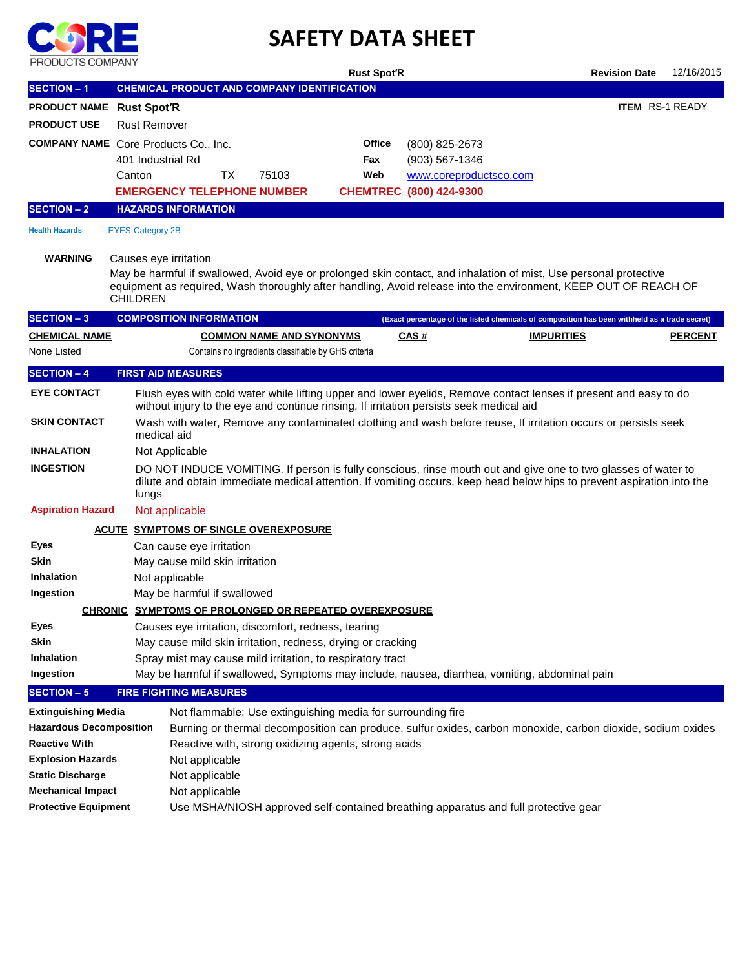

## **SAFETY DATA SHEET**

| <b>FRUDUCTO CONFANT</b>                     |                                          |                                |    |                                                             | <b>Rust Spot'R</b> |                         |                                                                                               | <b>Revision Date</b>                                                                                                                                                                                                                    | 12/16/2015             |
|---------------------------------------------|------------------------------------------|--------------------------------|----|-------------------------------------------------------------|--------------------|-------------------------|-----------------------------------------------------------------------------------------------|-----------------------------------------------------------------------------------------------------------------------------------------------------------------------------------------------------------------------------------------|------------------------|
| <b>SECTION - 1</b>                          |                                          |                                |    | <b>CHEMICAL PRODUCT AND COMPANY IDENTIFICATION</b>          |                    |                         |                                                                                               |                                                                                                                                                                                                                                         |                        |
| PRODUCT NAME Rust Spot'R                    |                                          |                                |    |                                                             |                    |                         |                                                                                               |                                                                                                                                                                                                                                         | <b>ITEM RS-1 READY</b> |
| <b>PRODUCT USE</b>                          | <b>Rust Remover</b>                      |                                |    |                                                             |                    |                         |                                                                                               |                                                                                                                                                                                                                                         |                        |
| <b>COMPANY NAME</b> Core Products Co., Inc. |                                          |                                |    |                                                             | Office             | (800) 825-2673          |                                                                                               |                                                                                                                                                                                                                                         |                        |
|                                             | 401 Industrial Rd                        |                                |    |                                                             | Fax                | $(903) 567 - 1346$      |                                                                                               |                                                                                                                                                                                                                                         |                        |
|                                             | Canton                                   |                                | ТX | 75103                                                       | Web                | www.coreproductsco.com  |                                                                                               |                                                                                                                                                                                                                                         |                        |
|                                             |                                          |                                |    | <b>EMERGENCY TELEPHONE NUMBER</b>                           |                    | CHEMTREC (800) 424-9300 |                                                                                               |                                                                                                                                                                                                                                         |                        |
| <b>SECTION - 2</b>                          |                                          | <b>HAZARDS INFORMATION</b>     |    |                                                             |                    |                         |                                                                                               |                                                                                                                                                                                                                                         |                        |
| <b>Health Hazards</b>                       | <b>EYES-Category 2B</b>                  |                                |    |                                                             |                    |                         |                                                                                               |                                                                                                                                                                                                                                         |                        |
| <b>WARNING</b>                              | Causes eye irritation<br><b>CHILDREN</b> |                                |    |                                                             |                    |                         |                                                                                               | May be harmful if swallowed, Avoid eye or prolonged skin contact, and inhalation of mist, Use personal protective<br>equipment as required, Wash thoroughly after handling, Avoid release into the environment, KEEP OUT OF REACH OF    |                        |
| <b>SECTION - 3</b>                          |                                          | <b>COMPOSITION INFORMATION</b> |    |                                                             |                    |                         |                                                                                               | (Exact percentage of the listed chemicals of composition has been withheld as a trade secret)                                                                                                                                           |                        |
| <b>CHEMICAL NAME</b>                        |                                          |                                |    | <b>COMMON NAME AND SYNONYMS</b>                             |                    | <u>CAS#</u>             |                                                                                               | <b>IMPURITIES</b>                                                                                                                                                                                                                       | <b>PERCENT</b>         |
| None Listed                                 |                                          |                                |    | Contains no ingredients classifiable by GHS criteria        |                    |                         |                                                                                               |                                                                                                                                                                                                                                         |                        |
| <b>SECTION - 4</b>                          |                                          | <b>FIRST AID MEASURES</b>      |    |                                                             |                    |                         |                                                                                               |                                                                                                                                                                                                                                         |                        |
| <b>EYE CONTACT</b>                          |                                          |                                |    |                                                             |                    |                         | without injury to the eye and continue rinsing, If irritation persists seek medical aid       | Flush eyes with cold water while lifting upper and lower eyelids, Remove contact lenses if present and easy to do                                                                                                                       |                        |
| <b>SKIN CONTACT</b>                         | medical aid                              |                                |    |                                                             |                    |                         |                                                                                               | Wash with water, Remove any contaminated clothing and wash before reuse, If irritation occurs or persists seek                                                                                                                          |                        |
| <b>INHALATION</b>                           |                                          | Not Applicable                 |    |                                                             |                    |                         |                                                                                               |                                                                                                                                                                                                                                         |                        |
| <b>INGESTION</b>                            | lungs                                    |                                |    |                                                             |                    |                         |                                                                                               | DO NOT INDUCE VOMITING. If person is fully conscious, rinse mouth out and give one to two glasses of water to<br>dilute and obtain immediate medical attention. If vomiting occurs, keep head below hips to prevent aspiration into the |                        |
| <b>Aspiration Hazard</b>                    |                                          | Not applicable                 |    |                                                             |                    |                         |                                                                                               |                                                                                                                                                                                                                                         |                        |
|                                             |                                          |                                |    | <b>ACUTE SYMPTOMS OF SINGLE OVEREXPOSURE</b>                |                    |                         |                                                                                               |                                                                                                                                                                                                                                         |                        |
| Eyes                                        |                                          | Can cause eye irritation       |    |                                                             |                    |                         |                                                                                               |                                                                                                                                                                                                                                         |                        |
| <b>Skin</b>                                 |                                          | May cause mild skin irritation |    |                                                             |                    |                         |                                                                                               |                                                                                                                                                                                                                                         |                        |
| <b>Inhalation</b>                           |                                          | Not applicable                 |    |                                                             |                    |                         |                                                                                               |                                                                                                                                                                                                                                         |                        |
| Ingestion                                   |                                          | May be harmful if swallowed    |    |                                                             |                    |                         |                                                                                               |                                                                                                                                                                                                                                         |                        |
|                                             |                                          |                                |    | CHRONIC SYMPTOMS OF PROLONGED OR REPEATED OVEREXPOSURE      |                    |                         |                                                                                               |                                                                                                                                                                                                                                         |                        |
| <b>Eyes</b>                                 |                                          |                                |    | Causes eye irritation, discomfort, redness, tearing         |                    |                         |                                                                                               |                                                                                                                                                                                                                                         |                        |
| <b>Skin</b><br><b>Inhalation</b>            |                                          |                                |    | May cause mild skin irritation, redness, drying or cracking |                    |                         |                                                                                               |                                                                                                                                                                                                                                         |                        |
| Ingestion                                   |                                          |                                |    | Spray mist may cause mild irritation, to respiratory tract  |                    |                         | May be harmful if swallowed, Symptoms may include, nausea, diarrhea, vomiting, abdominal pain |                                                                                                                                                                                                                                         |                        |
| <b>SECTION - 5</b>                          |                                          | <b>FIRE FIGHTING MEASURES</b>  |    |                                                             |                    |                         |                                                                                               |                                                                                                                                                                                                                                         |                        |
| <b>Extinguishing Media</b>                  |                                          |                                |    | Not flammable: Use extinguishing media for surrounding fire |                    |                         |                                                                                               |                                                                                                                                                                                                                                         |                        |
| <b>Hazardous Decomposition</b>              |                                          |                                |    |                                                             |                    |                         |                                                                                               | Burning or thermal decomposition can produce, sulfur oxides, carbon monoxide, carbon dioxide, sodium oxides                                                                                                                             |                        |
| <b>Reactive With</b>                        |                                          |                                |    | Reactive with, strong oxidizing agents, strong acids        |                    |                         |                                                                                               |                                                                                                                                                                                                                                         |                        |
| <b>Explosion Hazards</b>                    |                                          | Not applicable                 |    |                                                             |                    |                         |                                                                                               |                                                                                                                                                                                                                                         |                        |
| <b>Static Discharge</b>                     |                                          | Not applicable                 |    |                                                             |                    |                         |                                                                                               |                                                                                                                                                                                                                                         |                        |
| <b>Mechanical Impact</b>                    |                                          | Not applicable                 |    |                                                             |                    |                         |                                                                                               |                                                                                                                                                                                                                                         |                        |
| <b>Protective Equipment</b>                 |                                          |                                |    |                                                             |                    |                         | Use MSHA/NIOSH approved self-contained breathing apparatus and full protective gear           |                                                                                                                                                                                                                                         |                        |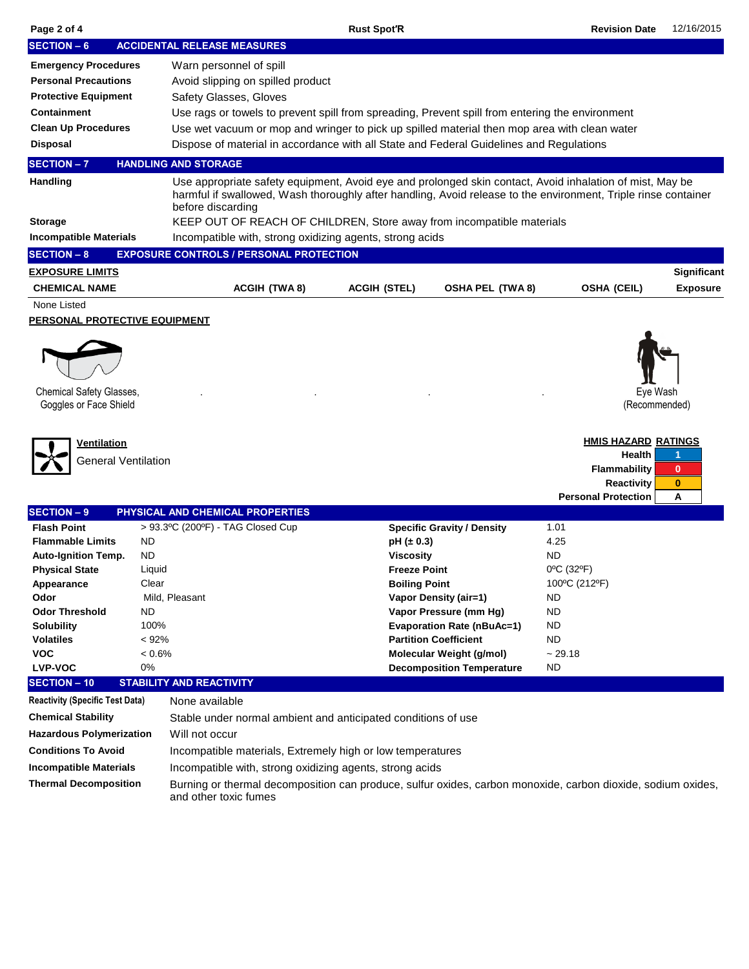| Page 2 of 4                                                                                                                                                                                                                  |                                                                                     |                                                                                                                                                                                                                                                 | <b>Rust Spot'R</b>                                                                |                                                                                                                                                                                                                           | <b>Revision Date</b>                                                                                                         | 12/16/2015                         |  |  |  |  |  |
|------------------------------------------------------------------------------------------------------------------------------------------------------------------------------------------------------------------------------|-------------------------------------------------------------------------------------|-------------------------------------------------------------------------------------------------------------------------------------------------------------------------------------------------------------------------------------------------|-----------------------------------------------------------------------------------|---------------------------------------------------------------------------------------------------------------------------------------------------------------------------------------------------------------------------|------------------------------------------------------------------------------------------------------------------------------|------------------------------------|--|--|--|--|--|
| <b>SECTION - 6</b>                                                                                                                                                                                                           |                                                                                     | <b>ACCIDENTAL RELEASE MEASURES</b>                                                                                                                                                                                                              |                                                                                   |                                                                                                                                                                                                                           |                                                                                                                              |                                    |  |  |  |  |  |
| <b>Emergency Procedures</b>                                                                                                                                                                                                  |                                                                                     | Warn personnel of spill                                                                                                                                                                                                                         |                                                                                   |                                                                                                                                                                                                                           |                                                                                                                              |                                    |  |  |  |  |  |
| <b>Personal Precautions</b>                                                                                                                                                                                                  |                                                                                     | Avoid slipping on spilled product                                                                                                                                                                                                               |                                                                                   |                                                                                                                                                                                                                           |                                                                                                                              |                                    |  |  |  |  |  |
| <b>Protective Equipment</b>                                                                                                                                                                                                  |                                                                                     | Safety Glasses, Gloves                                                                                                                                                                                                                          |                                                                                   |                                                                                                                                                                                                                           |                                                                                                                              |                                    |  |  |  |  |  |
| <b>Containment</b>                                                                                                                                                                                                           |                                                                                     | Use rags or towels to prevent spill from spreading, Prevent spill from entering the environment                                                                                                                                                 |                                                                                   |                                                                                                                                                                                                                           |                                                                                                                              |                                    |  |  |  |  |  |
| <b>Clean Up Procedures</b>                                                                                                                                                                                                   |                                                                                     | Use wet vacuum or mop and wringer to pick up spilled material then mop area with clean water                                                                                                                                                    |                                                                                   |                                                                                                                                                                                                                           |                                                                                                                              |                                    |  |  |  |  |  |
| <b>Disposal</b>                                                                                                                                                                                                              |                                                                                     | Dispose of material in accordance with all State and Federal Guidelines and Regulations                                                                                                                                                         |                                                                                   |                                                                                                                                                                                                                           |                                                                                                                              |                                    |  |  |  |  |  |
| <b>SECTION - 7</b>                                                                                                                                                                                                           |                                                                                     | <b>HANDLING AND STORAGE</b>                                                                                                                                                                                                                     |                                                                                   |                                                                                                                                                                                                                           |                                                                                                                              |                                    |  |  |  |  |  |
| <b>Handling</b>                                                                                                                                                                                                              |                                                                                     | Use appropriate safety equipment, Avoid eye and prolonged skin contact, Avoid inhalation of mist, May be<br>harmful if swallowed, Wash thoroughly after handling, Avoid release to the environment, Triple rinse container<br>before discarding |                                                                                   |                                                                                                                                                                                                                           |                                                                                                                              |                                    |  |  |  |  |  |
| <b>Storage</b>                                                                                                                                                                                                               | KEEP OUT OF REACH OF CHILDREN, Store away from incompatible materials               |                                                                                                                                                                                                                                                 |                                                                                   |                                                                                                                                                                                                                           |                                                                                                                              |                                    |  |  |  |  |  |
| <b>Incompatible Materials</b>                                                                                                                                                                                                |                                                                                     | Incompatible with, strong oxidizing agents, strong acids                                                                                                                                                                                        |                                                                                   |                                                                                                                                                                                                                           |                                                                                                                              |                                    |  |  |  |  |  |
| <b>SECTION - 8</b>                                                                                                                                                                                                           |                                                                                     | <b>EXPOSURE CONTROLS / PERSONAL PROTECTION</b>                                                                                                                                                                                                  |                                                                                   |                                                                                                                                                                                                                           |                                                                                                                              |                                    |  |  |  |  |  |
| <b>EXPOSURE LIMITS</b>                                                                                                                                                                                                       |                                                                                     |                                                                                                                                                                                                                                                 |                                                                                   |                                                                                                                                                                                                                           |                                                                                                                              | Significant                        |  |  |  |  |  |
| <b>CHEMICAL NAME</b>                                                                                                                                                                                                         |                                                                                     | <b>ACGIH (TWA8)</b>                                                                                                                                                                                                                             | <b>ACGIH (STEL)</b>                                                               | <b>OSHA PEL (TWA 8)</b>                                                                                                                                                                                                   | <b>OSHA (CEIL)</b>                                                                                                           | <b>Exposure</b>                    |  |  |  |  |  |
| None Listed<br><b>PERSONAL PROTECTIVE EQUIPMENT</b><br>Chemical Safety Glasses,<br>Goggles or Face Shield                                                                                                                    |                                                                                     |                                                                                                                                                                                                                                                 |                                                                                   |                                                                                                                                                                                                                           |                                                                                                                              | Eve Wash<br>(Recommended)          |  |  |  |  |  |
| Ventilation<br>General Ventilation                                                                                                                                                                                           |                                                                                     |                                                                                                                                                                                                                                                 |                                                                                   |                                                                                                                                                                                                                           | <b>HMIS HAZARD RATINGS</b><br>Health<br><b>Flammability</b><br><b>Reactivity</b><br><b>Personal Protection</b>               | 1<br>$\mathbf{0}$<br>$\bf{0}$<br>Α |  |  |  |  |  |
| SECTION - 9                                                                                                                                                                                                                  |                                                                                     | PHYSICAL AND CHEMICAL PROPERTIES                                                                                                                                                                                                                |                                                                                   |                                                                                                                                                                                                                           |                                                                                                                              |                                    |  |  |  |  |  |
| <b>Flash Point</b><br><b>Flammable Limits</b><br><b>Auto-Ignition Temp.</b><br><b>Physical State</b><br>Appearance<br>Odor<br><b>Odor Threshold</b><br><b>Solubility</b><br><b>Volatiles</b><br><b>VOC</b><br><b>LVP-VOC</b> | <b>ND</b><br><b>ND</b><br>Liquid<br>Clear<br>ND<br>100%<br>< 92%<br>$< 0.6\%$<br>0% | > 93.3ºC (200ºF) - TAG Closed Cup<br>Mild, Pleasant                                                                                                                                                                                             | $pH (\pm 0.3)$<br><b>Viscosity</b><br><b>Freeze Point</b><br><b>Boiling Point</b> | <b>Specific Gravity / Density</b><br>Vapor Density (air=1)<br>Vapor Pressure (mm Hg)<br><b>Evaporation Rate (nBuAc=1)</b><br><b>Partition Coefficient</b><br>Molecular Weight (g/mol)<br><b>Decomposition Temperature</b> | 1.01<br>4.25<br><b>ND</b><br>0°C (32°F)<br>100°C (212°F)<br>ND<br><b>ND</b><br><b>ND</b><br><b>ND</b><br>~29.18<br><b>ND</b> |                                    |  |  |  |  |  |
| <b>SECTION - 10</b>                                                                                                                                                                                                          |                                                                                     | <b>STABILITY AND REACTIVITY</b>                                                                                                                                                                                                                 |                                                                                   |                                                                                                                                                                                                                           |                                                                                                                              |                                    |  |  |  |  |  |
| <b>Reactivity (Specific Test Data)</b>                                                                                                                                                                                       |                                                                                     | None available                                                                                                                                                                                                                                  |                                                                                   |                                                                                                                                                                                                                           |                                                                                                                              |                                    |  |  |  |  |  |
| <b>Chemical Stability</b>                                                                                                                                                                                                    |                                                                                     | Stable under normal ambient and anticipated conditions of use                                                                                                                                                                                   |                                                                                   |                                                                                                                                                                                                                           |                                                                                                                              |                                    |  |  |  |  |  |
| <b>Hazardous Polymerization</b>                                                                                                                                                                                              |                                                                                     | Will not occur                                                                                                                                                                                                                                  |                                                                                   |                                                                                                                                                                                                                           |                                                                                                                              |                                    |  |  |  |  |  |
| <b>Conditions To Avoid</b>                                                                                                                                                                                                   |                                                                                     | Incompatible materials, Extremely high or low temperatures                                                                                                                                                                                      |                                                                                   |                                                                                                                                                                                                                           |                                                                                                                              |                                    |  |  |  |  |  |
| <b>Incompatible Materials</b>                                                                                                                                                                                                |                                                                                     | Incompatible with, strong oxidizing agents, strong acids                                                                                                                                                                                        |                                                                                   |                                                                                                                                                                                                                           |                                                                                                                              |                                    |  |  |  |  |  |
| <b>Thermal Decomposition</b>                                                                                                                                                                                                 |                                                                                     | Burning or thermal decomposition can produce, sulfur oxides, carbon monoxide, carbon dioxide, sodium oxides,<br>and other toxic fumes                                                                                                           |                                                                                   |                                                                                                                                                                                                                           |                                                                                                                              |                                    |  |  |  |  |  |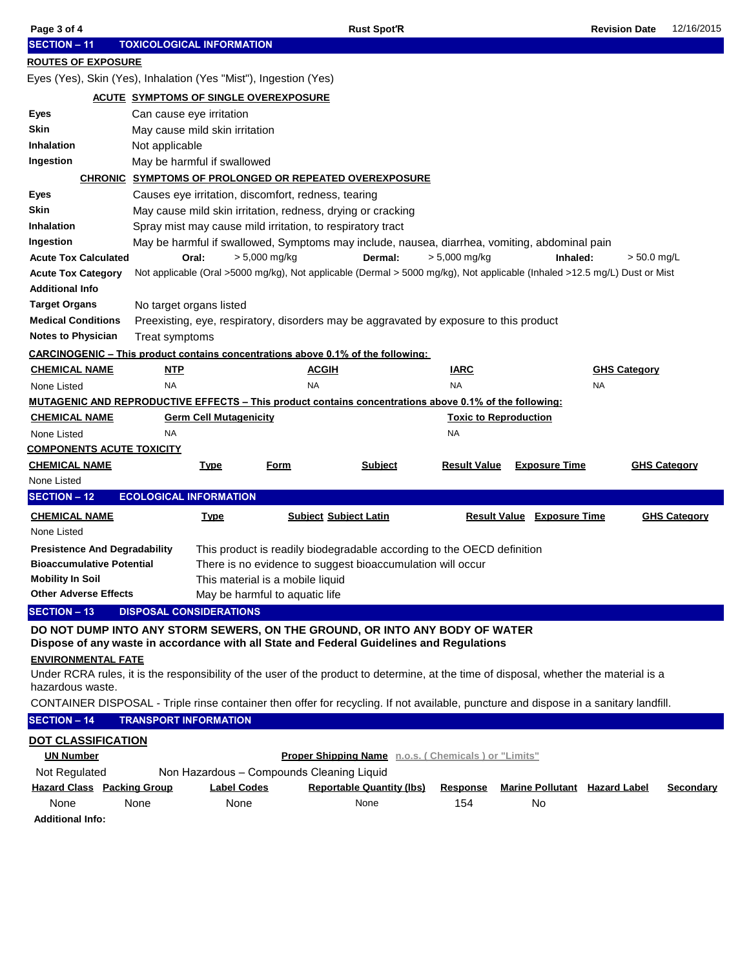| Page 3 of 4                                        |                                                                  | <b>Rust Spot'R</b>                                                                                                                     |                              |                                      | <b>Revision Date</b><br>12/16/2015 |  |  |  |  |  |  |  |
|----------------------------------------------------|------------------------------------------------------------------|----------------------------------------------------------------------------------------------------------------------------------------|------------------------------|--------------------------------------|------------------------------------|--|--|--|--|--|--|--|
| <b>SECTION - 11</b>                                | <b>TOXICOLOGICAL INFORMATION</b>                                 |                                                                                                                                        |                              |                                      |                                    |  |  |  |  |  |  |  |
| <b>ROUTES OF EXPOSURE</b>                          |                                                                  |                                                                                                                                        |                              |                                      |                                    |  |  |  |  |  |  |  |
|                                                    | Eyes (Yes), Skin (Yes), Inhalation (Yes "Mist"), Ingestion (Yes) |                                                                                                                                        |                              |                                      |                                    |  |  |  |  |  |  |  |
| <b>ACUTE SYMPTOMS OF SINGLE OVEREXPOSURE</b>       |                                                                  |                                                                                                                                        |                              |                                      |                                    |  |  |  |  |  |  |  |
| Eyes                                               | Can cause eye irritation                                         |                                                                                                                                        |                              |                                      |                                    |  |  |  |  |  |  |  |
| Skin                                               | May cause mild skin irritation                                   |                                                                                                                                        |                              |                                      |                                    |  |  |  |  |  |  |  |
| <b>Inhalation</b>                                  | Not applicable                                                   |                                                                                                                                        |                              |                                      |                                    |  |  |  |  |  |  |  |
| Ingestion                                          | May be harmful if swallowed                                      |                                                                                                                                        |                              |                                      |                                    |  |  |  |  |  |  |  |
|                                                    |                                                                  | <b>CHRONIC SYMPTOMS OF PROLONGED OR REPEATED OVEREXPOSURE</b>                                                                          |                              |                                      |                                    |  |  |  |  |  |  |  |
| Eyes                                               |                                                                  | Causes eye irritation, discomfort, redness, tearing                                                                                    |                              |                                      |                                    |  |  |  |  |  |  |  |
| Skin                                               |                                                                  | May cause mild skin irritation, redness, drying or cracking                                                                            |                              |                                      |                                    |  |  |  |  |  |  |  |
| <b>Inhalation</b>                                  |                                                                  | Spray mist may cause mild irritation, to respiratory tract                                                                             |                              |                                      |                                    |  |  |  |  |  |  |  |
| Ingestion                                          |                                                                  | May be harmful if swallowed, Symptoms may include, nausea, diarrhea, vomiting, abdominal pain                                          |                              |                                      |                                    |  |  |  |  |  |  |  |
| <b>Acute Tox Calculated</b>                        | Oral:                                                            | $> 5,000$ mg/kg<br>Dermal:                                                                                                             | $> 5,000$ mg/kg              | Inhaled:                             | $> 50.0$ mg/L                      |  |  |  |  |  |  |  |
| <b>Acute Tox Category</b>                          |                                                                  | Not applicable (Oral >5000 mg/kg), Not applicable (Dermal > 5000 mg/kg), Not applicable (Inhaled >12.5 mg/L) Dust or Mist              |                              |                                      |                                    |  |  |  |  |  |  |  |
| <b>Additional Info</b>                             |                                                                  |                                                                                                                                        |                              |                                      |                                    |  |  |  |  |  |  |  |
| <b>Target Organs</b>                               | No target organs listed                                          |                                                                                                                                        |                              |                                      |                                    |  |  |  |  |  |  |  |
| <b>Medical Conditions</b>                          |                                                                  | Preexisting, eye, respiratory, disorders may be aggravated by exposure to this product                                                 |                              |                                      |                                    |  |  |  |  |  |  |  |
| <b>Notes to Physician</b>                          | Treat symptoms                                                   |                                                                                                                                        |                              |                                      |                                    |  |  |  |  |  |  |  |
|                                                    |                                                                  | <b>CARCINOGENIC - This product contains concentrations above 0.1% of the following:</b>                                                |                              |                                      |                                    |  |  |  |  |  |  |  |
| <u>CHEMICAL NAME</u>                               | NTP                                                              | <b>ACGIH</b>                                                                                                                           | <b>IARC</b>                  |                                      | <b>GHS Category</b>                |  |  |  |  |  |  |  |
| None Listed                                        | NA                                                               | <b>NA</b>                                                                                                                              | <b>NA</b>                    | NA                                   |                                    |  |  |  |  |  |  |  |
|                                                    |                                                                  | <b>MUTAGENIC AND REPRODUCTIVE EFFECTS - This product contains concentrations above 0.1% of the following:</b>                          |                              |                                      |                                    |  |  |  |  |  |  |  |
| <b>CHEMICAL NAME</b>                               | <b>Germ Cell Mutagenicity</b>                                    |                                                                                                                                        | <b>Toxic to Reproduction</b> |                                      |                                    |  |  |  |  |  |  |  |
| None Listed                                        | NA                                                               |                                                                                                                                        | NA                           |                                      |                                    |  |  |  |  |  |  |  |
|                                                    |                                                                  |                                                                                                                                        |                              |                                      |                                    |  |  |  |  |  |  |  |
| <b>COMPONENTS ACUTE TOXICITY</b>                   |                                                                  |                                                                                                                                        |                              |                                      |                                    |  |  |  |  |  |  |  |
| <b>CHEMICAL NAME</b>                               | <b>Type</b>                                                      | <b>Subject</b><br><u>Form</u>                                                                                                          | <b>Result Value</b>          | <b>Exposure Time</b>                 | <b>GHS Category</b>                |  |  |  |  |  |  |  |
| None Listed                                        |                                                                  |                                                                                                                                        |                              |                                      |                                    |  |  |  |  |  |  |  |
| <b>SECTION - 12</b>                                | <b>ECOLOGICAL INFORMATION</b>                                    |                                                                                                                                        |                              |                                      |                                    |  |  |  |  |  |  |  |
| <b>CHEMICAL NAME</b>                               | <u>Type</u>                                                      | <b>Subject Subject Latin</b>                                                                                                           |                              | <b>Result Value Exposure Time</b>    | <b>GHS Category</b>                |  |  |  |  |  |  |  |
| None Listed                                        |                                                                  |                                                                                                                                        |                              |                                      |                                    |  |  |  |  |  |  |  |
| <b>Presistence And Degradability</b>               |                                                                  | This product is readily biodegradable according to the OECD definition                                                                 |                              |                                      |                                    |  |  |  |  |  |  |  |
| <b>Bioaccumulative Potential</b>                   |                                                                  | There is no evidence to suggest bioaccumulation will occur                                                                             |                              |                                      |                                    |  |  |  |  |  |  |  |
| <b>Mobility In Soil</b>                            |                                                                  | This material is a mobile liquid                                                                                                       |                              |                                      |                                    |  |  |  |  |  |  |  |
| <b>Other Adverse Effects</b>                       |                                                                  | May be harmful to aquatic life                                                                                                         |                              |                                      |                                    |  |  |  |  |  |  |  |
| <b>SECTION - 13</b>                                | <b>DISPOSAL CONSIDERATIONS</b>                                   |                                                                                                                                        |                              |                                      |                                    |  |  |  |  |  |  |  |
|                                                    |                                                                  | DO NOT DUMP INTO ANY STORM SEWERS, ON THE GROUND, OR INTO ANY BODY OF WATER                                                            |                              |                                      |                                    |  |  |  |  |  |  |  |
|                                                    |                                                                  | Dispose of any waste in accordance with all State and Federal Guidelines and Regulations                                               |                              |                                      |                                    |  |  |  |  |  |  |  |
| <b>ENVIRONMENTAL FATE</b>                          |                                                                  |                                                                                                                                        |                              |                                      |                                    |  |  |  |  |  |  |  |
| hazardous waste.                                   |                                                                  | Under RCRA rules, it is the responsibility of the user of the product to determine, at the time of disposal, whether the material is a |                              |                                      |                                    |  |  |  |  |  |  |  |
|                                                    |                                                                  | CONTAINER DISPOSAL - Triple rinse container then offer for recycling. If not available, puncture and dispose in a sanitary landfill.   |                              |                                      |                                    |  |  |  |  |  |  |  |
| <b>SECTION - 14</b>                                | <b>TRANSPORT INFORMATION</b>                                     |                                                                                                                                        |                              |                                      |                                    |  |  |  |  |  |  |  |
|                                                    |                                                                  |                                                                                                                                        |                              |                                      |                                    |  |  |  |  |  |  |  |
| <b>DOT CLASSIFICATION</b><br><b>UN Number</b>      |                                                                  | Proper Shipping Name n.o.s. (Chemicals) or "Limits"                                                                                    |                              |                                      |                                    |  |  |  |  |  |  |  |
|                                                    |                                                                  |                                                                                                                                        |                              |                                      |                                    |  |  |  |  |  |  |  |
| Not Regulated<br><b>Hazard Class Packing Group</b> | <b>Label Codes</b>                                               | Non Hazardous - Compounds Cleaning Liquid<br><b>Reportable Quantity (lbs)</b>                                                          | <b>Response</b>              | <b>Marine Pollutant</b> Hazard Label | <b>Secondary</b>                   |  |  |  |  |  |  |  |
| None                                               | None<br>None                                                     | None                                                                                                                                   | 154                          | No                                   |                                    |  |  |  |  |  |  |  |
| <b>Additional Info:</b>                            |                                                                  |                                                                                                                                        |                              |                                      |                                    |  |  |  |  |  |  |  |